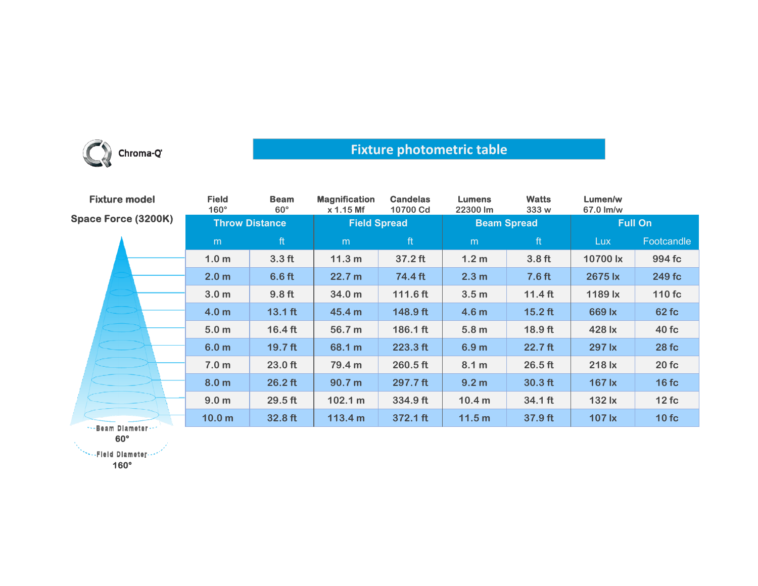

## **Fixture photometric table**

| <b>Fixture model</b>       | <b>Field</b><br>$160^\circ$ | <b>Beam</b><br>$60^\circ$ | <b>Magnification</b><br>x 1.15 Mf | <b>Candelas</b><br>10700 Cd | <b>Lumens</b><br>22300 lm | <b>Watts</b><br>333 w | Lumen/w<br>67.0 lm/w |            |
|----------------------------|-----------------------------|---------------------------|-----------------------------------|-----------------------------|---------------------------|-----------------------|----------------------|------------|
| <b>Space Force (3200K)</b> | <b>Throw Distance</b>       |                           | <b>Field Spread</b>               |                             | <b>Beam Spread</b>        |                       | <b>Full On</b>       |            |
|                            | m                           | ft                        | m                                 | ft                          | m                         | ft                    | <b>Lux</b>           | Footcandle |
|                            | 1.0 <sub>m</sub>            | 3.3 <sub>ft</sub>         | 11.3 <sub>m</sub>                 | 37.2 ft                     | 1.2 <sub>m</sub>          | 3.8 <sub>ft</sub>     | 10700 lx             | 994 fc     |
|                            | 2.0 <sub>m</sub>            | 6.6 <sub>ft</sub>         | 22.7 m                            | 74.4 ft                     | 2.3 <sub>m</sub>          | 7.6 <sub>ft</sub>     | 2675 lx              | 249 fc     |
|                            | 3.0 <sub>m</sub>            | 9.8 <sub>ft</sub>         | 34.0 <sub>m</sub>                 | $111.6$ ft                  | 3.5 <sub>m</sub>          | $11.4$ ft             | 1189 lx              | 110 fc     |
|                            | 4.0 <sub>m</sub>            | $13.1$ ft                 | 45.4 m                            | 148.9 ft                    | 4.6 <sub>m</sub>          | $15.2$ ft             | 669 lx               | 62 fc      |
|                            | 5.0 <sub>m</sub>            | $16.4 \text{ ft}$         | 56.7 m                            | 186.1 ft                    | 5.8 <sub>m</sub>          | 18.9 ft               | 428 lx               | 40 fc      |
|                            | 6.0 <sub>m</sub>            | $19.7$ ft                 | 68.1 m                            | 223.3 ft                    | 6.9 <sub>m</sub>          | 22.7 ft               | 297 lx               | 28fc       |
|                            | 7.0 <sub>m</sub>            | $23.0$ ft                 | 79.4 m                            | 260.5 ft                    | 8.1 m                     | $26.5$ ft             | 218 lx               | 20fc       |
|                            | 8.0 <sub>m</sub>            | $26.2$ ft                 | 90.7 m                            | 297.7 ft                    | 9.2 <sub>m</sub>          | $30.3$ ft             | <b>167 lx</b>        | 16fc       |
|                            | 9.0 <sub>m</sub>            | $29.5$ ft                 | 102.1 m                           | 334.9 ft                    | 10.4 <sub>m</sub>         | $34.1$ ft             | 132 lx               | 12fc       |
| *** Beam Diameter ***      | 10.0 <sub>m</sub>           | 32.8 ft                   | 113.4 m                           | 372.1 ft                    | 11.5 m                    | 37.9 ft               | 107 lx               | 10fc       |

**60°**

**160°**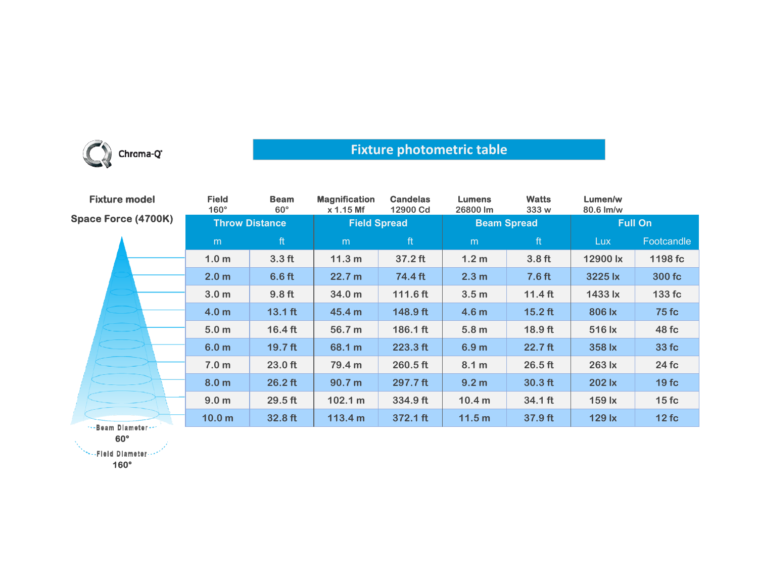

## **Fixture photometric table**

| <b>Fixture model</b>       | <b>Field</b><br>$160^\circ$ | <b>Beam</b><br>$60^\circ$ | <b>Magnification</b><br>x 1.15 Mf | <b>Candelas</b><br>12900 Cd | <b>Lumens</b><br>26800 lm | <b>Watts</b><br>333 w | Lumen/w<br>80.6 lm/w |              |
|----------------------------|-----------------------------|---------------------------|-----------------------------------|-----------------------------|---------------------------|-----------------------|----------------------|--------------|
| <b>Space Force (4700K)</b> | <b>Throw Distance</b>       |                           | <b>Field Spread</b>               |                             | <b>Beam Spread</b>        |                       | <b>Full On</b>       |              |
|                            | m                           | ft                        | m                                 | ft                          | m                         | ft                    | <b>Lux</b>           | Footcandle   |
|                            | 1.0 <sub>m</sub>            | 3.3 <sub>ft</sub>         | 11.3 <sub>m</sub>                 | 37.2 ft                     | 1.2 <sub>m</sub>          | 3.8 <sub>ft</sub>     | 12900 lx             | 1198 fc      |
|                            | 2.0 <sub>m</sub>            | 6.6 <sub>ft</sub>         | 22.7 m                            | 74.4 ft                     | 2.3 <sub>m</sub>          | 7.6 <sub>ft</sub>     | 3225 lx              | 300 fc       |
|                            | 3.0 <sub>m</sub>            | 9.8 <sub>ft</sub>         | 34.0 m                            | 111.6 ft                    | 3.5 <sub>m</sub>          | $11.4$ ft             | 1433 lx              | 133 fc       |
|                            | 4.0 <sub>m</sub>            | $13.1$ ft                 | 45.4 m                            | 148.9 ft                    | 4.6 <sub>m</sub>          | $15.2$ ft             | 806 lx               | <b>75 fc</b> |
|                            | 5.0 <sub>m</sub>            | $16.4 \text{ ft}$         | 56.7 m                            | 186.1 ft                    | 5.8 <sub>m</sub>          | 18.9 ft               | 516 lx               | 48 fc        |
|                            | 6.0 <sub>m</sub>            | $19.7$ ft                 | 68.1 m                            | 223.3 ft                    | 6.9 <sub>m</sub>          | 22.7 ft               | 358 lx               | 33 fc        |
|                            | 7.0 <sub>m</sub>            | 23.0 ft                   | 79.4 m                            | 260.5 ft                    | 8.1 m                     | $26.5$ ft             | 263 lx               | 24 fc        |
|                            | 8.0 <sub>m</sub>            | $26.2$ ft                 | 90.7 m                            | 297.7 ft                    | 9.2 <sub>m</sub>          | $30.3$ ft             | 202 lx               | 19fc         |
|                            | 9.0 <sub>m</sub>            | 29.5 ft                   | 102.1 m                           | 334.9 ft                    | 10.4 <sub>m</sub>         | 34.1 ft               | 159 lx               | 15fc         |
| **- Beam Diameter ***      | 10.0 <sub>m</sub>           | 32.8 ft                   | 113.4 m                           | 372.1 ft                    | 11.5 m                    | 37.9 ft               | 129 lx               | 12fc         |

**60°**

\*\*\*\*\*Fleid Diameter --\*\*

**160°**